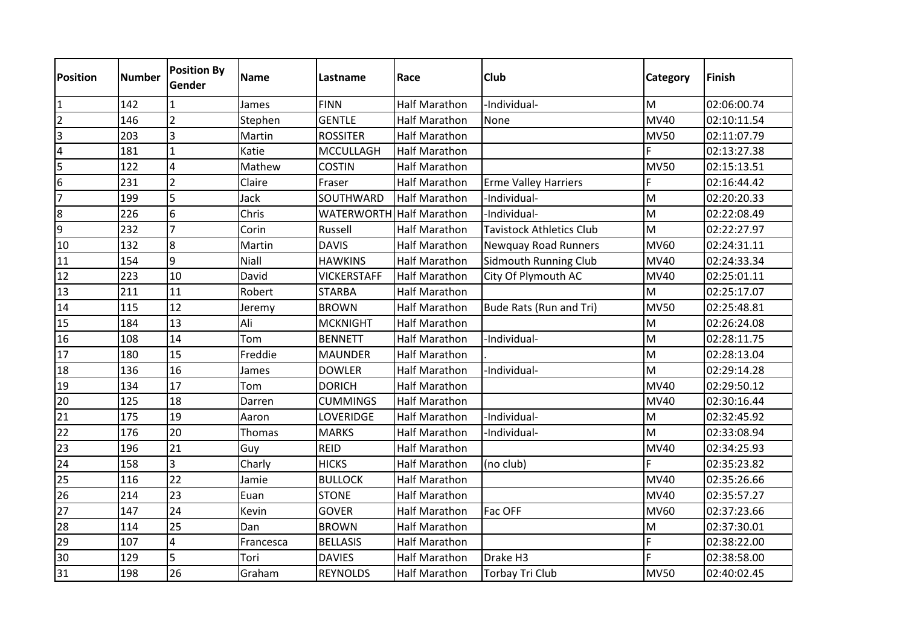| <b>Position</b>  | <b>Number</b> | <b>Position By</b><br><b>Gender</b> | <b>Name</b> | Lastname           | Race                 | <b>Club</b>                     | Category    | Finish      |
|------------------|---------------|-------------------------------------|-------------|--------------------|----------------------|---------------------------------|-------------|-------------|
| 1                | 142           |                                     | James       | <b>FINN</b>        | <b>Half Marathon</b> | -Individual-                    | M           | 02:06:00.74 |
| $\overline{2}$   | 146           | $\overline{2}$                      | Stephen     | <b>GENTLE</b>      | <b>Half Marathon</b> | None                            | <b>MV40</b> | 02:10:11.54 |
| $\overline{3}$   | 203           | $\overline{3}$                      | Martin      | <b>ROSSITER</b>    | Half Marathon        |                                 | <b>MV50</b> | 02:11:07.79 |
| 4                | 181           | $\overline{1}$                      | Katie       | <b>MCCULLAGH</b>   | <b>Half Marathon</b> |                                 |             | 02:13:27.38 |
| 5                | 122           | $\overline{\mathbf{4}}$             | Mathew      | <b>COSTIN</b>      | <b>Half Marathon</b> |                                 | <b>MV50</b> | 02:15:13.51 |
| $\boldsymbol{6}$ | 231           | $\overline{2}$                      | Claire      | Fraser             | <b>Half Marathon</b> | <b>Erme Valley Harriers</b>     | F           | 02:16:44.42 |
| $\overline{7}$   | 199           | $\overline{5}$                      | Jack        | SOUTHWARD          | <b>Half Marathon</b> | -Individual-                    | M           | 02:20:20.33 |
| $\bf 8$          | 226           | $6\overline{6}$                     | Chris       | <b>WATERWORTH</b>  | Half Marathon        | -Individual-                    | M           | 02:22:08.49 |
| 9                | 232           | 7                                   | Corin       | Russell            | <b>Half Marathon</b> | <b>Tavistock Athletics Club</b> | M           | 02:22:27.97 |
| 10               | 132           | $\overline{8}$                      | Martin      | <b>DAVIS</b>       | <b>Half Marathon</b> | <b>Newquay Road Runners</b>     | <b>MV60</b> | 02:24:31.11 |
| 11               | 154           | 9                                   | Niall       | <b>HAWKINS</b>     | <b>Half Marathon</b> | <b>Sidmouth Running Club</b>    | <b>MV40</b> | 02:24:33.34 |
| 12               | 223           | 10                                  | David       | <b>VICKERSTAFF</b> | <b>Half Marathon</b> | City Of Plymouth AC             | <b>MV40</b> | 02:25:01.11 |
| 13               | 211           | 11                                  | Robert      | <b>STARBA</b>      | <b>Half Marathon</b> |                                 | M           | 02:25:17.07 |
| 14               | 115           | 12                                  | Jeremy      | <b>BROWN</b>       | <b>Half Marathon</b> | Bude Rats (Run and Tri)         | <b>MV50</b> | 02:25:48.81 |
| 15               | 184           | 13                                  | Ali         | <b>MCKNIGHT</b>    | <b>Half Marathon</b> |                                 | M           | 02:26:24.08 |
| 16               | 108           | 14                                  | Tom         | <b>BENNETT</b>     | <b>Half Marathon</b> | -Individual-                    | M           | 02:28:11.75 |
| 17               | 180           | 15                                  | Freddie     | <b>MAUNDER</b>     | <b>Half Marathon</b> |                                 | M           | 02:28:13.04 |
| 18               | 136           | 16                                  | James       | <b>DOWLER</b>      | <b>Half Marathon</b> | -Individual-                    | M           | 02:29:14.28 |
| 19               | 134           | 17                                  | Tom         | <b>DORICH</b>      | <b>Half Marathon</b> |                                 | <b>MV40</b> | 02:29:50.12 |
| 20               | 125           | 18                                  | Darren      | <b>CUMMINGS</b>    | Half Marathon        |                                 | <b>MV40</b> | 02:30:16.44 |
| 21               | 175           | 19                                  | Aaron       | LOVERIDGE          | <b>Half Marathon</b> | -Individual-                    | M           | 02:32:45.92 |
| 22               | 176           | 20                                  | Thomas      | <b>MARKS</b>       | <b>Half Marathon</b> | -Individual-                    | M           | 02:33:08.94 |
| 23               | 196           | 21                                  | Guy         | <b>REID</b>        | Half Marathon        |                                 | <b>MV40</b> | 02:34:25.93 |
| 24               | 158           | $\overline{3}$                      | Charly      | <b>HICKS</b>       | <b>Half Marathon</b> | (no club)                       |             | 02:35:23.82 |
| 25               | 116           | 22                                  | Jamie       | <b>BULLOCK</b>     | Half Marathon        |                                 | <b>MV40</b> | 02:35:26.66 |
| 26               | 214           | 23                                  | Euan        | <b>STONE</b>       | <b>Half Marathon</b> |                                 | <b>MV40</b> | 02:35:57.27 |
| 27               | 147           | 24                                  | Kevin       | <b>GOVER</b>       | <b>Half Marathon</b> | Fac OFF                         | <b>MV60</b> | 02:37:23.66 |
| 28               | 114           | 25                                  | Dan         | <b>BROWN</b>       | <b>Half Marathon</b> |                                 | M           | 02:37:30.01 |
| 29               | 107           | $\overline{\mathbf{4}}$             | Francesca   | <b>BELLASIS</b>    | <b>Half Marathon</b> |                                 | F           | 02:38:22.00 |
| 30               | 129           | $\overline{5}$                      | Tori        | <b>DAVIES</b>      | <b>Half Marathon</b> | Drake H3                        | F           | 02:38:58.00 |
| 31               | 198           | 26                                  | Graham      | <b>REYNOLDS</b>    | <b>Half Marathon</b> | Torbay Tri Club                 | <b>MV50</b> | 02:40:02.45 |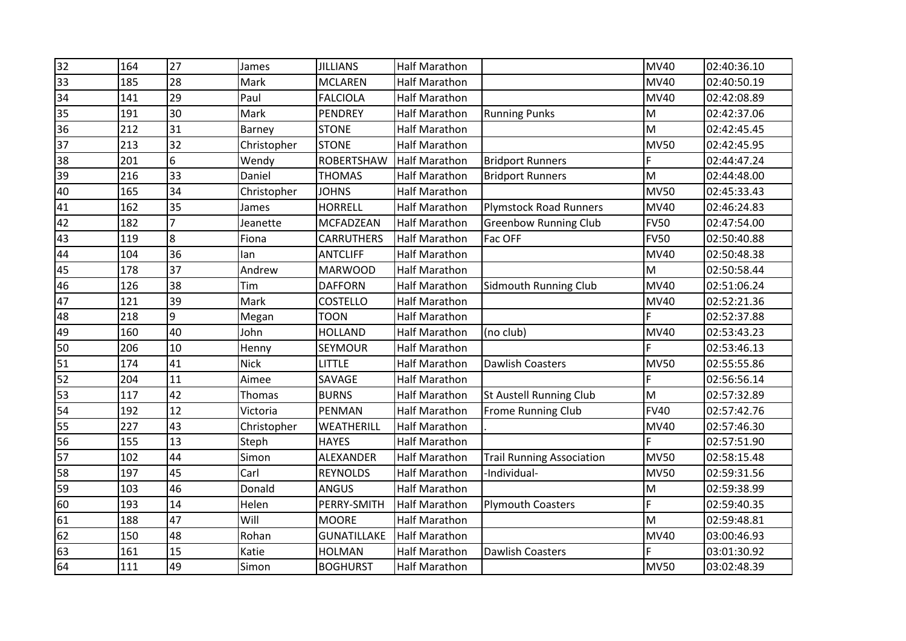| 27<br>32<br>164<br><b>JILLIANS</b><br>James<br>28<br>33<br>185<br>Mark<br><b>MCLAREN</b><br>29<br>34<br>141<br>Paul<br><b>FALCIOLA</b> | <b>Half Marathon</b><br>Half Marathon |                                  | MV <sub>40</sub> | 02:40:36.10 |
|----------------------------------------------------------------------------------------------------------------------------------------|---------------------------------------|----------------------------------|------------------|-------------|
|                                                                                                                                        |                                       |                                  |                  |             |
|                                                                                                                                        |                                       |                                  | <b>MV40</b>      | 02:40:50.19 |
|                                                                                                                                        | <b>Half Marathon</b>                  |                                  | <b>MV40</b>      | 02:42:08.89 |
| 30<br>35<br>191<br><b>PENDREY</b><br>Mark                                                                                              | <b>Half Marathon</b>                  | <b>Running Punks</b>             | M                | 02:42:37.06 |
| 36<br>31<br>212<br><b>STONE</b><br>Barney                                                                                              | <b>Half Marathon</b>                  |                                  | M                | 02:42:45.45 |
| 32<br>213<br>37<br><b>STONE</b><br>Christopher                                                                                         | Half Marathon                         |                                  | <b>MV50</b>      | 02:42:45.95 |
| 6<br>201<br>38<br>Wendy<br><b>ROBERTSHAW</b>                                                                                           | <b>Half Marathon</b>                  | <b>Bridport Runners</b>          | F                | 02:44:47.24 |
| 33<br>39<br>216<br>Daniel<br><b>THOMAS</b>                                                                                             | <b>Half Marathon</b>                  | <b>Bridport Runners</b>          | M                | 02:44:48.00 |
| 34<br>40<br>165<br>Christopher<br><b>JOHNS</b>                                                                                         | <b>Half Marathon</b>                  |                                  | <b>MV50</b>      | 02:45:33.43 |
| 35<br>162<br>41<br><b>HORRELL</b><br>James                                                                                             | Half Marathon                         | <b>Plymstock Road Runners</b>    | <b>MV40</b>      | 02:46:24.83 |
| $\overline{7}$<br>42<br>182<br><b>MCFADZEAN</b><br>Jeanette                                                                            | <b>Half Marathon</b>                  | <b>Greenbow Running Club</b>     | <b>FV50</b>      | 02:47:54.00 |
| 8<br>43<br>119<br>Fiona<br><b>CARRUTHERS</b>                                                                                           | Half Marathon                         | Fac OFF                          | <b>FV50</b>      | 02:50:40.88 |
| 36<br>44<br>104<br><b>ANTCLIFF</b><br>lan                                                                                              | Half Marathon                         |                                  | <b>MV40</b>      | 02:50:48.38 |
| 37<br>45<br>178<br>Andrew<br><b>MARWOOD</b>                                                                                            | Half Marathon                         |                                  | M                | 02:50:58.44 |
| 38<br>46<br>126<br>Tim<br><b>DAFFORN</b>                                                                                               | <b>Half Marathon</b>                  | <b>Sidmouth Running Club</b>     | <b>MV40</b>      | 02:51:06.24 |
| 39<br>47<br>121<br>Mark<br><b>COSTELLO</b>                                                                                             | Half Marathon                         |                                  | <b>MV40</b>      | 02:52:21.36 |
| $\overline{9}$<br>48<br>218<br>Megan<br><b>TOON</b>                                                                                    | <b>Half Marathon</b>                  |                                  |                  | 02:52:37.88 |
| 40<br>49<br>160<br>John<br><b>HOLLAND</b>                                                                                              | <b>Half Marathon</b>                  | (no club)                        | <b>MV40</b>      | 02:53:43.23 |
| 10<br>50<br>206<br>SEYMOUR<br>Henny                                                                                                    | <b>Half Marathon</b>                  |                                  |                  | 02:53:46.13 |
| 51<br>41<br>174<br><b>Nick</b><br><b>LITTLE</b>                                                                                        | Half Marathon                         | <b>Dawlish Coasters</b>          | <b>MV50</b>      | 02:55:55.86 |
| 52<br>11<br>204<br>Aimee<br>SAVAGE                                                                                                     | Half Marathon                         |                                  | E                | 02:56:56.14 |
| 42<br>53<br>117<br>Thomas<br><b>BURNS</b>                                                                                              | <b>Half Marathon</b>                  | <b>St Austell Running Club</b>   | M                | 02:57:32.89 |
| 12<br>54<br>192<br>PENMAN<br>Victoria                                                                                                  | Half Marathon                         | <b>Frome Running Club</b>        | <b>FV40</b>      | 02:57:42.76 |
| 43<br>55<br>227<br>WEATHERILL<br>Christopher                                                                                           | Half Marathon                         |                                  | MV40             | 02:57:46.30 |
| 56<br>13<br>155<br><b>HAYES</b><br>Steph                                                                                               | <b>Half Marathon</b>                  |                                  |                  | 02:57:51.90 |
| 44<br>102<br>57<br>Simon<br>ALEXANDER                                                                                                  | <b>Half Marathon</b>                  | <b>Trail Running Association</b> | <b>MV50</b>      | 02:58:15.48 |
| 45<br>58<br>197<br>Carl<br><b>REYNOLDS</b>                                                                                             | Half Marathon                         | -Individual-                     | <b>MV50</b>      | 02:59:31.56 |
| 46<br>59<br>103<br>Donald<br><b>ANGUS</b>                                                                                              | Half Marathon                         |                                  | M                | 02:59:38.99 |
| 14<br>60<br>193<br>Helen<br>PERRY-SMITH                                                                                                | <b>Half Marathon</b>                  | <b>Plymouth Coasters</b>         | Ë                | 02:59:40.35 |
| 47<br>188<br>Will<br><b>MOORE</b><br>61                                                                                                | <b>Half Marathon</b>                  |                                  | M                | 02:59:48.81 |
| 48<br>62<br>150<br>Rohan<br><b>GUNATILLAKE</b>                                                                                         | <b>Half Marathon</b>                  |                                  | <b>MV40</b>      | 03:00:46.93 |
| 63<br>15<br>161<br>Katie<br><b>HOLMAN</b>                                                                                              | <b>Half Marathon</b>                  | <b>Dawlish Coasters</b>          |                  | 03:01:30.92 |
| 64<br>49<br>111<br>Simon<br><b>BOGHURST</b>                                                                                            | <b>Half Marathon</b>                  |                                  | <b>MV50</b>      | 03:02:48.39 |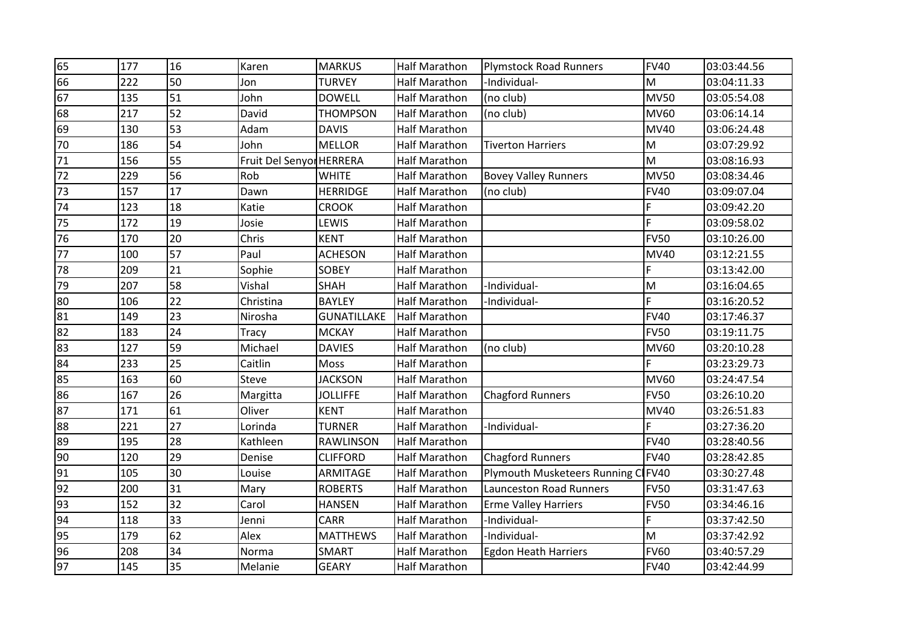| 65 | 177 | 16 | Karen                    | <b>MARKUS</b>      | <b>Half Marathon</b> | <b>Plymstock Road Runners</b>  | <b>FV40</b> | 03:03:44.56 |
|----|-----|----|--------------------------|--------------------|----------------------|--------------------------------|-------------|-------------|
| 66 | 222 | 50 | Jon                      | <b>TURVEY</b>      | <b>Half Marathon</b> | -Individual-                   | M           | 03:04:11.33 |
| 67 | 135 | 51 | John                     | <b>DOWELL</b>      | Half Marathon        | (no club)                      | <b>MV50</b> | 03:05:54.08 |
| 68 | 217 | 52 | David                    | <b>THOMPSON</b>    | Half Marathon        | (no club)                      | <b>MV60</b> | 03:06:14.14 |
| 69 | 130 | 53 | Adam                     | <b>DAVIS</b>       | Half Marathon        |                                | <b>MV40</b> | 03:06:24.48 |
| 70 | 186 | 54 | John                     | <b>MELLOR</b>      | <b>Half Marathon</b> | <b>Tiverton Harriers</b>       | M           | 03:07:29.92 |
| 71 | 156 | 55 | Fruit Del Senyor HERRERA |                    | <b>Half Marathon</b> |                                | M           | 03:08:16.93 |
| 72 | 229 | 56 | Rob                      | <b>WHITE</b>       | Half Marathon        | <b>Bovey Valley Runners</b>    | <b>MV50</b> | 03:08:34.46 |
| 73 | 157 | 17 | Dawn                     | <b>HERRIDGE</b>    | <b>Half Marathon</b> | (no club)                      | <b>FV40</b> | 03:09:07.04 |
| 74 | 123 | 18 | Katie                    | <b>CROOK</b>       | Half Marathon        |                                | F.          | 03:09:42.20 |
| 75 | 172 | 19 | Josie                    | LEWIS              | <b>Half Marathon</b> |                                | Ē           | 03:09:58.02 |
| 76 | 170 | 20 | Chris                    | <b>KENT</b>        | Half Marathon        |                                | <b>FV50</b> | 03:10:26.00 |
| 77 | 100 | 57 | Paul                     | <b>ACHESON</b>     | Half Marathon        |                                | <b>MV40</b> | 03:12:21.55 |
| 78 | 209 | 21 | Sophie                   | <b>SOBEY</b>       | <b>Half Marathon</b> |                                | F           | 03:13:42.00 |
| 79 | 207 | 58 | Vishal                   | <b>SHAH</b>        | Half Marathon        | -Individual-                   | M           | 03:16:04.65 |
| 80 | 106 | 22 | Christina                | <b>BAYLEY</b>      | <b>Half Marathon</b> | -Individual-                   | Ė           | 03:16:20.52 |
| 81 | 149 | 23 | Nirosha                  | <b>GUNATILLAKE</b> | Half Marathon        |                                | <b>FV40</b> | 03:17:46.37 |
| 82 | 183 | 24 | Tracy                    | <b>MCKAY</b>       | <b>Half Marathon</b> |                                | <b>FV50</b> | 03:19:11.75 |
| 83 | 127 | 59 | Michael                  | <b>DAVIES</b>      | <b>Half Marathon</b> | (no club)                      | <b>MV60</b> | 03:20:10.28 |
| 84 | 233 | 25 | Caitlin                  | Moss               | Half Marathon        |                                |             | 03:23:29.73 |
| 85 | 163 | 60 | Steve                    | <b>JACKSON</b>     | Half Marathon        |                                | <b>MV60</b> | 03:24:47.54 |
| 86 | 167 | 26 | Margitta                 | <b>JOLLIFFE</b>    | <b>Half Marathon</b> | <b>Chagford Runners</b>        | <b>FV50</b> | 03:26:10.20 |
| 87 | 171 | 61 | Oliver                   | <b>KENT</b>        | Half Marathon        |                                | <b>MV40</b> | 03:26:51.83 |
| 88 | 221 | 27 | Lorinda                  | <b>TURNER</b>      | Half Marathon        | -Individual-                   | F           | 03:27:36.20 |
| 89 | 195 | 28 | Kathleen                 | <b>RAWLINSON</b>   | Half Marathon        |                                | <b>FV40</b> | 03:28:40.56 |
| 90 | 120 | 29 | Denise                   | <b>CLIFFORD</b>    | Half Marathon        | <b>Chagford Runners</b>        | <b>FV40</b> | 03:28:42.85 |
| 91 | 105 | 30 | Louise                   | ARMITAGE           | Half Marathon        | Plymouth Musketeers Running C  | <b>FV40</b> | 03:30:27.48 |
| 92 | 200 | 31 | Mary                     | <b>ROBERTS</b>     | Half Marathon        | <b>Launceston Road Runners</b> | <b>FV50</b> | 03:31:47.63 |
| 93 | 152 | 32 | Carol                    | <b>HANSEN</b>      | Half Marathon        | <b>Erme Valley Harriers</b>    | <b>FV50</b> | 03:34:46.16 |
| 94 | 118 | 33 | Jenni                    | <b>CARR</b>        | <b>Half Marathon</b> | -Individual-                   |             | 03:37:42.50 |
| 95 | 179 | 62 | Alex                     | <b>MATTHEWS</b>    | Half Marathon        | -Individual-                   | M           | 03:37:42.92 |
| 96 | 208 | 34 | Norma                    | <b>SMART</b>       | Half Marathon        | <b>Egdon Heath Harriers</b>    | <b>FV60</b> | 03:40:57.29 |
| 97 | 145 | 35 | Melanie                  | <b>GEARY</b>       | <b>Half Marathon</b> |                                | <b>FV40</b> | 03:42:44.99 |